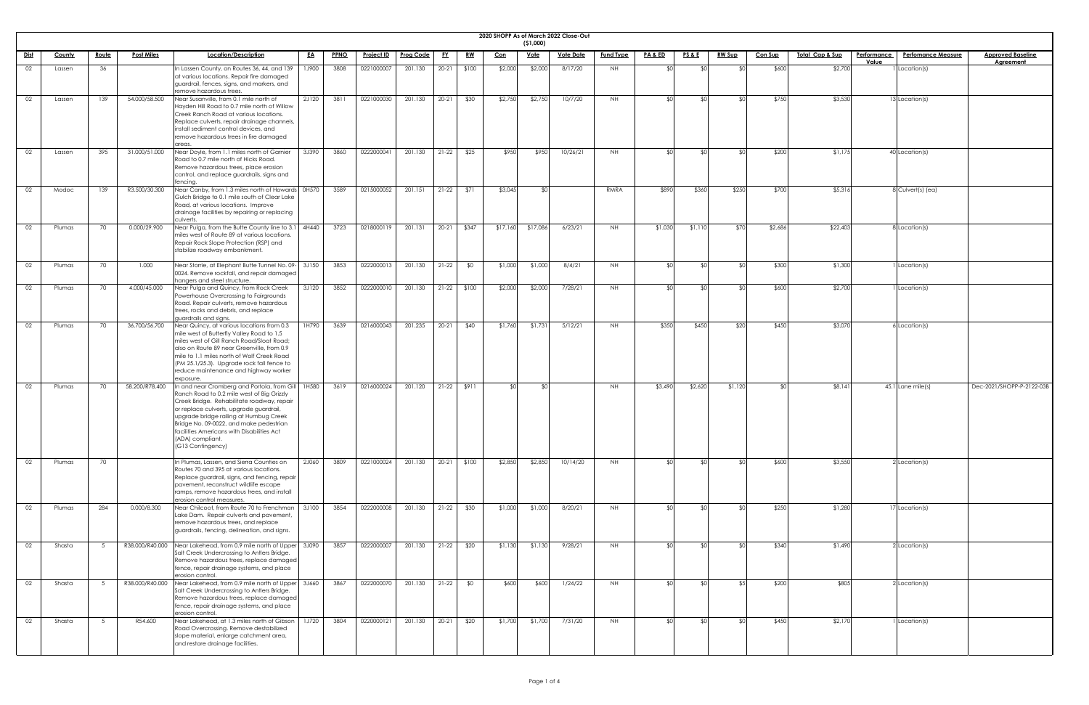| <b>2020 SHOPP</b> |  |
|-------------------|--|

|             |               |                |                   |                                                                                                                                                                                                                                                                                                                                                                        |              |             |                   |                         |           |           | 2020 SHOPP As of March 2022 Close-Out | (51,000)    |                  |                  |                    |                 |               |                |                            |                    |                           |                           |
|-------------|---------------|----------------|-------------------|------------------------------------------------------------------------------------------------------------------------------------------------------------------------------------------------------------------------------------------------------------------------------------------------------------------------------------------------------------------------|--------------|-------------|-------------------|-------------------------|-----------|-----------|---------------------------------------|-------------|------------------|------------------|--------------------|-----------------|---------------|----------------|----------------------------|--------------------|---------------------------|---------------------------|
| <u>Dist</u> | <b>County</b> | <u>Route</u>   | <b>Post Miles</b> | Location/Description                                                                                                                                                                                                                                                                                                                                                   | <u>EA</u>    | <b>PPNO</b> | <b>Project ID</b> | <b>Prog Code</b>        | <u>FY</u> | <u>RW</u> | <u>Con</u>                            | <u>Vote</u> | <b>Vote Date</b> | <b>Fund Type</b> | <u>PA &amp; ED</u> | <u>PS&amp;E</u> | <b>RW Sup</b> | <b>Con Sup</b> | <u>Total Cap &amp; Sup</u> | <b>Performance</b> | <b>Perfomance Measure</b> | <b>Approved Baseline</b>  |
| 02          | Lassen        | 36             |                   | In Lassen County, on Routes 36, 44, and 139<br>at various locations. Repair fire damaged<br>guardrail, fences, signs, and markers, and<br>remove hazardous trees.                                                                                                                                                                                                      | <b>1J900</b> | 3808        | 0221000007        | 201.130                 | $20 - 21$ | \$100     | \$2,000                               | \$2,000     | 8/17/20          | NH.              |                    |                 |               | \$600          | \$2,700                    | Value              | I Location(s)             | <b>Agreement</b>          |
| 02          | Lassen        | 139            | 54.000/58.500     | Near Susanville, from 0.1 mile north of<br>Hayden Hill Road to 0.7 mile north of Willow<br>Creek Ranch Road at various locations.<br>Replace culverts, repair drainage channels,<br>install sediment control devices, and<br>remove hazardous trees in fire damaged<br>areas                                                                                           | 2J120        | 3811        | 0221000030        | 201.130                 | $20 - 21$ | \$30      | \$2,750                               | \$2,750     | 10/7/20          | NH               |                    |                 |               | \$750          | \$3,530                    |                    | 13 Location(s)            |                           |
| 02          | Lassen        | 395            | 31.000/51.000     | Near Doyle, from 1.1 miles north of Garnier<br>Road to 0.7 mile north of Hicks Road.<br>Remove hazardous trees, place erosion<br>control, and replace guardrails, signs and<br>fencina.                                                                                                                                                                                | 3J390        | 3860        | 0222000041        | 201.130                 | $21-22$   | \$25      | \$950                                 | \$950       | 10/26/21         | NH               |                    |                 |               | \$200          | \$1,17                     |                    | 40 Location(s)            |                           |
| 02          | Modoc         | 139            | R3.500/30.300     | Near Canby, from 1.3 miles north of Howards 0H570<br>Gulch Bridge to 0.1 mile south of Clear Lake<br>Road, at various locations. Improve<br>drainage facilities by repairing or replacing<br>culverts                                                                                                                                                                  |              | 3589        | 0215000052        | 201.151                 | $21-22$   | \$71      | \$3,045                               | ו∩≯         |                  | RMRA             | \$890              | \$360           | \$250         | \$700          | \$5,316                    |                    | 8 Culvert(s) (ea)         |                           |
| 02          | Plumas        | 70             | 0.000/29.900      | Near Pulga, from the Butte County line to 3.1<br>miles west of Route 89 at various locations.<br>Repair Rock Slope Protection (RSP) and<br>stabilize roadway embankment.                                                                                                                                                                                               | 4H440        | 3723        | 0218000119        | 201.131                 | $20 - 21$ | \$347     | \$17,160                              | \$17,086    | 6/23/21          | NH.              | \$1,030            | \$1,110         | \$70          | \$2,686        | \$22,40                    |                    | 8 Location(s)             |                           |
| 02          | Plumas        | 70             | 1.000             | Near Storrie, at Elephant Butte Tunnel No. 09-<br>0024. Remove rockfall, and repair damaged<br>hangers and steel structure.                                                                                                                                                                                                                                            | 3J150        | 3853        | 0222000013        | 201.130                 | $21-22$   | \$0       | \$1,000                               | \$1,000     | 8/4/21           | NH.              | ¢Λ                 |                 |               | \$300          | \$1,300                    |                    | I Location(s)             |                           |
|             | Plumas        | 70             | 4.000/45.000      | Near Pulga and Quincy, from Rock Creek<br>Powerhouse Overcrossing to Fairgrounds<br>Road. Repair culverts, remove hazardous<br>trees, rocks and debris, and replace<br>guardrails and signs.                                                                                                                                                                           | 3J120        | 3852        | 0222000010        | $201.130$ $21-22$ \$100 |           |           | \$2,000                               | \$2,000     | 7/28/21          | NH.              |                    |                 |               | \$600          | \$2,700                    |                    | 1 Location(s)             |                           |
| 02          | Plumas        | 70             | 36.700/56.700     | Near Quincy, at various locations from 0.3<br>mile west of Butterfly Valley Road to 1.5<br>miles west of Gill Ranch Road/Sloat Road;<br>also on Route 89 near Greenville, from 0.9<br>mile to 1.1 miles north of Wolf Creek Road<br>(PM 25.1/25.3). Upgrade rock fall fence to<br>reduce maintenance and highway worker<br>exposure.                                   | 1H790        | 3639        | 0216000043        | 201.235                 | $20-21$   | \$40      | \$1,760                               | \$1,731     | 5/12/21          | <b>NH</b>        | \$350              | \$450           | \$20          | \$450          | \$3,070                    |                    | $6$ Location(s)           |                           |
| 02          | Plumas        | 70             | 58.200/R78.400    | In and near Cromberg and Portola, from Gill   1H580<br>Ranch Road to 0.2 mile west of Big Grizzly<br>Creek Bridge. Rehabilitate roadway, repair<br>or replace culverts, upgrade guardrail,<br>upgrade bridge railing at Humbug Creek<br>Bridge No. 09-0022, and make pedestrian<br>facilities Americans with Disabilities Act<br>(ADA) compliant.<br>(G13 Contingency) |              | 3619        | 0216000024        | 201.120                 | $21-22$   | \$911     | ≮∩l                                   | ו∩¢         |                  | NH.              | \$3,490            | \$2,620         | \$1,120       |                | \$8,141                    |                    | 45.1 Lane mile(s)         | Dec-2021/SHOPP-P-2122-03B |
| 02          | Plumas        | 70             |                   | In Plumas, Lassen, and Sierra Counties on<br>Routes 70 and 395 at various locations.<br>Replace guardrail, signs, and fencing, repair<br>pavement, reconstruct wildlife escape<br>ramps, remove hazardous trees, and install<br>erosion control measures.                                                                                                              | 2J060        | 3809        | 0221000024        | 201.130                 | $20-21$   | \$100     | \$2,850                               | \$2,850     | 10/14/20         | NH               |                    |                 |               | \$600          | \$3,550                    |                    | $2$ Location(s)           |                           |
| 02          | Plumas        | 284            | 0.000/8.300       | Near Chilcoot, from Route 70 to Frenchman<br>Lake Dam. Repair culverts and pavement.<br>remove hazardous trees, and replace<br>guardrails, fencing, delineation, and signs.                                                                                                                                                                                            | 3J100        | 3854        | 0222000008        | 201.130                 | $21-22$   | \$30      | \$1,000                               | \$1,000     | 8/20/21          | NH               |                    |                 |               | \$250          | \$1,280                    |                    | 17 Location(s)            |                           |
|             | Shasta        |                |                   | R38.000/R40.000 Near Lakehead, from 0.9 mile north of Upper 3J090<br>Salt Creek Undercrossing to Antlers Bridge.<br>Remove hazardous trees, replace damaged<br>fence, repair drainage systems, and place<br>erosion control.                                                                                                                                           |              | 3857        | 0222000007        | 201.130 21-22 \$20      |           |           | \$1,130                               | \$1,130     | 9/28/21          | NH.              |                    |                 |               | \$340          | \$1,490                    |                    | 2 Location(s)             |                           |
| 02          | Shasta        | 5              | R38.000/R40.000   | Near Lakehead, from 0.9 mile north of Upper 3J660<br>Salt Creek Undercrossing to Antlers Bridge.<br>Remove hazardous trees, replace damaged<br>fence, repair drainage systems, and place<br>erosion control.                                                                                                                                                           |              | 3867        | 0222000070        | 201.130                 | $21-22$   | \$0       | \$600                                 | \$600       | 1/24/22          | NH               | ו∩≯                |                 | ¢ς            | \$200          | \$805                      |                    | 2 Location(s)             |                           |
| 02          | Shasta        | 5 <sup>5</sup> | R54.600           | Near Lakehead, at 1.3 miles north of Gibson<br>Road Overcrossing. Remove destabilized<br>slope material, enlarge catchment area,<br>and restore drainage facilities.                                                                                                                                                                                                   | <b>1J720</b> | 3804        | 0220000121        | 201.130                 | $20-21$   | \$20      | \$1,700                               | \$1,700     | 7/31/20          | NH               |                    |                 |               | \$450          | \$2,170                    |                    | I Location(s)             |                           |

| <u>eline</u><br>I |
|-------------------|
|                   |
|                   |
|                   |
|                   |
|                   |
|                   |
|                   |
|                   |
|                   |
|                   |
|                   |
| $-2122 - 03B$     |
|                   |
|                   |
|                   |
|                   |
|                   |
|                   |
|                   |
|                   |
|                   |
|                   |
|                   |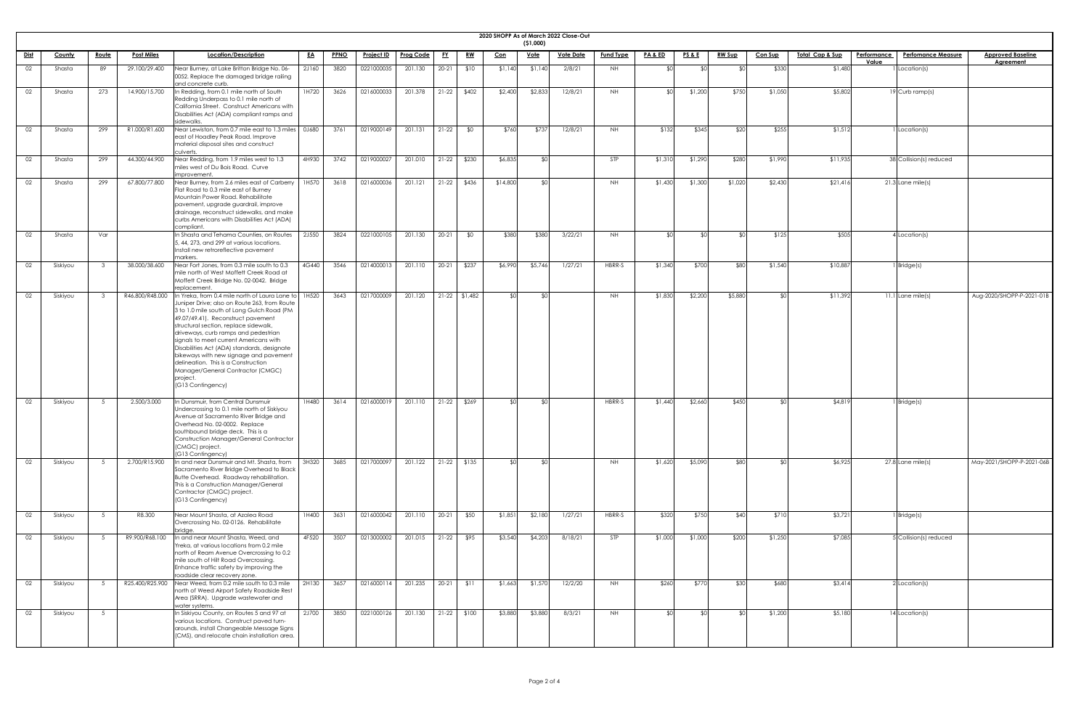|             |               |                 |                   |                                                                                                                                                                                                                                                                                                                                                                                                                                                                                                                     |           |             |                   |                  |           |                 |            |                         | 2020 SHOPP As of March 2022 Close-Out |                  |                    |                 |               |                |                            |             |                           |                           |
|-------------|---------------|-----------------|-------------------|---------------------------------------------------------------------------------------------------------------------------------------------------------------------------------------------------------------------------------------------------------------------------------------------------------------------------------------------------------------------------------------------------------------------------------------------------------------------------------------------------------------------|-----------|-------------|-------------------|------------------|-----------|-----------------|------------|-------------------------|---------------------------------------|------------------|--------------------|-----------------|---------------|----------------|----------------------------|-------------|---------------------------|---------------------------|
| <u>Dist</u> | <b>County</b> | <u>Route</u>    | <b>Post Miles</b> | Location/Description                                                                                                                                                                                                                                                                                                                                                                                                                                                                                                | <u>EA</u> | <b>PPNO</b> | <u>Project ID</u> | <b>Prog Code</b> | <u>FY</u> | <u>RW</u>       | <u>Con</u> | (51,000)<br><u>Vote</u> | <b>Vote Date</b>                      | <b>Fund Type</b> | <u>PA &amp; ED</u> | <u>PS&amp;E</u> | <u>RW Sup</u> | <b>Con Sup</b> | <u>Total Cap &amp; Sup</u> | Performance | <b>Perfomance Measure</b> | <b>Approved Baseline</b>  |
| 02          | Shasta        | 89              | 29.100/29.400     | Near Burney, at Lake Britton Bridge No. 06-                                                                                                                                                                                                                                                                                                                                                                                                                                                                         | 2J160     | 3820        | 0221000035        | 201.130          | $20-21$   | \$10            | \$1,140    | \$1,140                 | 2/8/21                                | NH               |                    |                 |               | \$330          | \$1,480                    | Value       | I Location(s)             | <b>Agreement</b>          |
|             |               |                 |                   | 0052. Replace the damaged bridge railing<br>and concrete curb.                                                                                                                                                                                                                                                                                                                                                                                                                                                      |           |             |                   |                  |           |                 |            |                         |                                       |                  |                    |                 |               |                |                            |             |                           |                           |
| 02          | Shasta        | 273             | 14.900/15.700     | In Redding, from 0.1 mile north of South<br>Redding Underpass to 0.1 mile north of<br>California Street. Construct Americans with<br>Disabilities Act (ADA) compliant ramps and<br>sidewalks.                                                                                                                                                                                                                                                                                                                       | 1H720     | 3626        | 0216000033        | 201.378          | $21-22$   | \$402           | \$2,400    | \$2,833                 | 12/8/21                               | <b>NH</b>        | ≮∩Լ                | \$1,200         | \$750         | \$1,050        | \$5,802                    |             | 19 Curb ramp(s)           |                           |
| 02          | Shasta        | 299             | R1.000/R1.600     | Near Lewiston, from 0.7 mile east to 1.3 miles   0J680<br>east of Hoadley Peak Road. Improve<br>material disposal sites and construct<br>culverts.                                                                                                                                                                                                                                                                                                                                                                  |           | 3761        | 0219000149        | 201.131          | $21-22$   | \$0             | \$760      | \$737                   | 12/8/21                               | NH               | \$132              | \$345           | \$20          | \$255          | \$1,512                    |             | I Location(s)             |                           |
| 02          | Shasta        | 299             | 44.300/44.900     | Near Redding, from 1.9 miles west to 1.3<br>miles west of Du Bois Road. Curve<br>improvement.                                                                                                                                                                                                                                                                                                                                                                                                                       | 4H930     | 3742        | 0219000027        | 201.010          | $21-22$   | \$230           | \$6,835    | ו∩¢                     |                                       | STP              | \$1,310            | \$1,290         | \$280         | \$1,990        | \$11,935                   |             | 38 Collision(s) reduced   |                           |
| 02          | Shasta        | 299             | 67.800/77.800     | Near Burney, from 2.6 miles east of Carberry<br>Flat Road to 0.3 mile east of Burney<br>Mountain Power Road. Rehabilitate<br>pavement, upgrade guardrail, improve<br>drainage, reconstruct sidewalks, and make<br>curbs Americans with Disabilities Act (ADA)<br>compliant.                                                                                                                                                                                                                                         | 1H570     | 3618        | 0216000036        | 201.121          | $21-22$   | \$436           | \$14,800   | ላ የ                     |                                       | NH.              | \$1,430            | \$1,300         | \$1,020       | \$2,430        | \$21,416                   |             | $21.3$ Lane mile(s)       |                           |
| 02          | Shasta        | Var             |                   | In Shasta and Tehama Counties, on Routes<br>5, 44, 273, and 299 at various locations.<br>Install new retroreflective pavement<br>markers.                                                                                                                                                                                                                                                                                                                                                                           | 2J550     | 3824        | 0221000105        | 201.130          | $20 - 21$ | \$0             | \$380      | \$380                   | 3/22/21                               | NH.              | đΛ                 |                 |               | \$125          | \$505                      |             | 4 Location(s)             |                           |
| 02          | Siskiyou      |                 | 38.000/38.600     | Near Fort Jones, from 0.3 mile south to 0.3<br>mile north of West Moffett Creek Road at<br>Moffett Creek Bridge No. 02-0042. Bridge<br>replacement                                                                                                                                                                                                                                                                                                                                                                  | 4G440     | 3546        | 0214000013        | 201.110          | $20 - 21$ | \$237           | \$6,990    | \$5,746                 | 1/27/21                               | HBRR-S           | \$1,340            | \$700           | \$80          | \$1,540        | \$10,887                   |             | $1$ Bridge(s)             |                           |
| 02          | Siskiyou      |                 | R46.800/R48.000   | In Yreka, from 0.4 mile north of Laura Lane to<br>Juniper Drive; also on Route 263, from Route<br>3 to 1.0 mile south of Long Gulch Road (PM<br>49.07/49.41). Reconstruct pavement<br>structural section, replace sidewalk,<br>driveways, curb ramps and pedestrian<br>signals to meet current Americans with<br>Disabilities Act (ADA) standards, designate<br>bikeways with new signage and pavement<br>delineation. This is a Construction<br>Manager/General Contractor (CMGC)<br>project.<br>(G13 Contingency) | 1H520     | 3643        | 0217000009        | 201.120          |           | $21-22$ \$1,482 | ≮∩l        | \$0                     |                                       | NH.              | \$1,830            | \$2,200         | \$5,880       |                | \$11,392                   |             | $11.1$ Lane mile(s)       | Aug-2020/SHOPP-P-2021-01B |
| 02          | Siskiyou      | - 5             | 2.500/3.000       | In Dunsmuir, from Central Dunsmuir<br>Undercrossing to 0.1 mile north of Siskiyou<br>Avenue at Sacramento River Bridge and<br>Overhead No. 02-0002. Replace<br>southbound bridge deck. This is a<br>Construction Manager/General Contractor<br>(CMGC) project.<br>(G13 Contingency)                                                                                                                                                                                                                                 | 1H480     | 3614        | 0216000019        | 201.110          | $21-22$   | \$269           | ≮∩l        | SO <sub>1</sub>         |                                       | HBRR-S           | \$1,440            | \$2,660         | \$450         |                | \$4,81                     |             | 1 Bridge(s)               |                           |
| 02          | Siskiyou      | - 5             | 2.700/R15.900     | In and near Dunsmuir and Mt. Shasta, from<br>Sacramento River Bridge Overhead to Black<br>Butte Overhead. Roadway rehabilitation.<br>This is a Construction Manager/General<br>Contractor (CMGC) project.<br>(G13 Contingency)                                                                                                                                                                                                                                                                                      | 3H320     | 3685        | 0217000097        | 201.122          |           | 21-22 \$135     | ≮∩I        | ീി                      |                                       | NH               | \$1,620            | \$5,090         | \$80          |                | \$6,925                    |             | $27.8$ Lane mile(s)       | May-2021/SHOPP-P-2021-06B |
| 02          | Siskiyou      | 5               | R8.300            | Near Mount Shasta, at Azalea Road<br>Overcrossing No. 02-0126. Rehabilitate                                                                                                                                                                                                                                                                                                                                                                                                                                         | 1H400     | 3631        | 0216000042        | 201.110          | $20-21$   | \$50            | \$1,851    | \$2,180                 | 1/27/21                               | HBRR-S           | \$320              | \$750           | \$40          | \$710          | \$3,721                    |             | 1 Bridge(s)               |                           |
| 02          | Siskiyou      | - 5             | R9.900/R68.100    | oridae<br>In and near Mount Shasta, Weed, and<br>Yreka, at various locations from 0.2 mile<br>north of Ream Avenue Overcrossing to 0.2<br>mile south of Hilt Road Overcrossing.<br>Enhance traffic safety by improving the<br>roadside clear recovery zone.                                                                                                                                                                                                                                                         | 4F520     | 3507        | 0213000002        | 201.015          | $21-22$   | \$95            | \$3,540    | \$4,203                 | 8/18/21                               | <b>STP</b>       | \$1,000            | \$1,000         | \$200         | \$1,250        | \$7,085                    |             | 5 Collision(s) reduced    |                           |
| 02          | Siskiyou      |                 |                   | R25.400/R25.900 Near Weed, from 0.2 mile south to 0.3 mile<br>north of Weed Airport Safety Roadside Rest<br>Area (SRRA). Upgrade wastewater and<br>water systems.                                                                                                                                                                                                                                                                                                                                                   | 2H130     | 3657        | 0216000114        | 201.235          |           | $20-21$ \$11    | \$1,663    | \$1,570                 | 12/2/20                               | NH               | \$260              | \$770           | \$30          | \$680          | \$3,414                    |             | 2 Location(s)             |                           |
| 02          | Siskiyou      | $5\overline{)}$ |                   | In Siskiyou County, on Routes 5 and 97 at<br>various locations. Construct paved turn-<br>arounds, install Changeable Message Signs<br>(CMS), and relocate chain installation area.                                                                                                                                                                                                                                                                                                                                  | 2J700     | 3850        | 0221000126        | 201.130          |           | $21-22$ \$100   | \$3,880    | \$3,880                 | 8/3/21                                | NH               |                    |                 |               | \$1,200        | \$5,180                    |             | 14 Location(s)            |                           |

| <u>eline</u><br>I |
|-------------------|
|                   |
|                   |
|                   |
|                   |
|                   |
|                   |
|                   |
|                   |
|                   |
| $-2021 - 01B$     |
|                   |
|                   |
|                   |
|                   |
|                   |
|                   |
| $-2021 - 06B$     |
|                   |
|                   |
|                   |
|                   |
|                   |
|                   |
|                   |
|                   |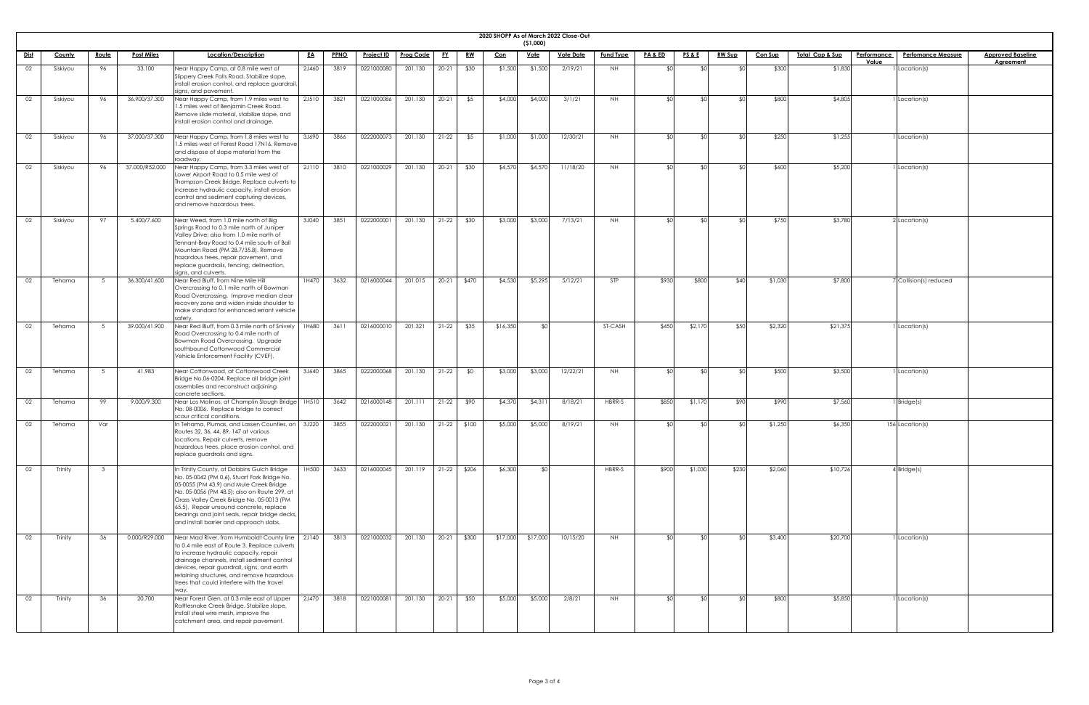| <b>2020 SHOPP</b> |  |
|-------------------|--|

|             |               |              |                   |                                                                                                                                                                                                                                                                                                                                                                            |           |             |                   |                  |           |           |            | (51,000)    | 2020 SHOPP As of March 2022 Close-Out |                  |                    |                 |                |         |                             |             |                           |                          |
|-------------|---------------|--------------|-------------------|----------------------------------------------------------------------------------------------------------------------------------------------------------------------------------------------------------------------------------------------------------------------------------------------------------------------------------------------------------------------------|-----------|-------------|-------------------|------------------|-----------|-----------|------------|-------------|---------------------------------------|------------------|--------------------|-----------------|----------------|---------|-----------------------------|-------------|---------------------------|--------------------------|
| <u>Dist</u> | <b>County</b> | <u>Route</u> | <b>Post Miles</b> | Location/Description                                                                                                                                                                                                                                                                                                                                                       | <u>EA</u> | <b>PPNO</b> | <u>Project ID</u> | <u>Prog Code</u> | <u>EY</u> | <u>RW</u> | <u>Con</u> | <u>Vote</u> | <b>Vote Date</b>                      | <b>Fund Type</b> | <b>PA &amp; ED</b> | <b>PS&amp;E</b> | <b>RW Sup</b>  | Con Sup | <u> Total Cap &amp; Sup</u> | Performance | <b>Perfomance Measure</b> | <b>Approved Baseline</b> |
| 02          | Siskiyou      | 96           | 33.100            | Near Happy Camp, at 0.8 mile west of<br>Slippery Creek Falls Road. Stabilize slope,<br>install erosion control, and replace guardrail,<br>signs, and pavement.                                                                                                                                                                                                             | 2J460     | 3819        | 0221000080        | 201.130          | $20 - 21$ | \$30      | \$1,500    | \$1,500     | 2/19/21                               | NH               |                    |                 | ⊄∩             | \$300   | \$1,830                     | Value       | 1 Location(s)             | <b>Agreement</b>         |
| 02          | Siskiyou      | 96           | 36.900/37.300     | Near Happy Camp, from 1.9 miles west to<br>1.5 miles west of Benjamin Creek Road.<br>Remove slide material, stabilize slope, and<br>install erosion control and drainage.                                                                                                                                                                                                  | 2J510     | 3821        | 0221000086        | 201.130          | $20 - 21$ | \$5       | \$4,000    | \$4,000     | 3/1/21                                | <b>NH</b>        |                    |                 | ደ ሰ            | \$800   | \$4,805                     |             | 1 Location(s)             |                          |
| 02          | Siskiyou      | 96           | 37.000/37.300     | Near Happy Camp, from 1.8 miles west to<br>1.5 miles west of Forest Road 17N16. Remove<br>and dispose of slope material from the<br>roadway.                                                                                                                                                                                                                               | 3J690     | 3866        | 0222000073        | 201.130          | $21 - 22$ | \$5       | \$1,000    | \$1,000     | 12/30/21                              | <b>NH</b>        |                    |                 | ⊄∩             | \$250   | \$1,255                     |             | 1 Location(s)             |                          |
| 02          | Siskiyou      | 96           | 37.000/R52.000    | Near Happy Camp, from 3.3 miles west of<br>Lower Airport Road to 0.5 mile west of<br>Thompson Creek Bridge. Replace culverts to<br>increase hydraulic capacity, install erosion<br>control and sediment capturing devices,<br>and remove hazardous trees.                                                                                                                  | 2J110     | 3810        | 0221000029        | 201.130          | $20 - 21$ | \$30      | \$4,570    | \$4,570     | 11/18/20                              | <b>NH</b>        |                    |                 | ደ ሰ            | \$600   | \$5,200                     |             | $1$ Location(s)           |                          |
| 02          | Siskiyou      | 97           | 5.400/7.600       | Near Weed, from 1.0 mile north of Big<br>Springs Road to 0.3 mile north of Juniper<br>Valley Drive; also from 1.0 mile north of<br>Tennant-Bray Road to 0.4 mile south of Ball<br>Mountain Road (PM 28.7/35.8). Remove<br>hazardous trees, repair pavement, and<br>replace guardrails, fencing, delineation,<br>signs, and culverts.                                       | 3J040     | 3851        | 0222000001        | 201.130          | $21 - 22$ | \$30      | \$3,000    | \$3,000     | 7/13/21                               | <b>NH</b>        |                    |                 | $\mathfrak{C}$ | \$750   | \$3,780                     |             | $2$ Location(s)           |                          |
| 02          | Tehama        |              | 36.300/41.600     | Near Red Bluff, from Nine Mile Hill<br>Overcrossing to 0.1 mile north of Bowman<br>Road Overcrossing. Improve median clear<br>recovery zone and widen inside shoulder to<br>make standard for enhanced errant vehicle<br>safetv                                                                                                                                            | 1H470     | 3632        | 0216000044        | 201.015          | $20 - 21$ | \$470     | \$4,530    | \$5,295     | 5/12/21                               | <b>STP</b>       | \$930              | \$800           | \$40           | \$1,030 | \$7,800                     |             | 7 Collision(s) reduced    |                          |
| 02          | Tehama        |              | 39.000/41.900     | Near Red Bluff, from 0.3 mile north of Snively<br>Road Overcrossing to 0.4 mile north of<br>Bowman Road Overcrossing. Upgrade<br>southbound Cottonwood Commercial<br>Vehicle Enforcement Facility (CVEF).                                                                                                                                                                  | 1H680     | 3611        | 0216000010        | 201.321          | $21 - 22$ | \$35      | \$16,350   | ו∩≯         |                                       | ST-CASH          | \$450              | \$2,170         | \$50           | \$2,320 | \$21,375                    |             | 1 Location(s)             |                          |
| 02          | Tehama        |              | 41.983            | Near Cottonwood, at Cottonwood Creek<br>Bridge No.06-0204. Replace all bridge joint<br>assemblies and reconstruct adjoining<br>concrete sections.                                                                                                                                                                                                                          | 3J640     | 3865        | 0222000068        | 201.130          | $21-22$   | \$0       | \$3,000    | \$3,000     | 12/22/21                              | NH .             |                    |                 | ደበ             | \$500   | \$3,500                     |             | 1 Location(s)             |                          |
| 02          | Tehama        | 99           | 9.000/9.300       | Near Los Molinos, at Champlin Slough Bridge<br>No. 08-0006. Replace bridge to correct<br>scour critical conditions.                                                                                                                                                                                                                                                        | 1H510     | 3642        | 0216000148        | 201.111          | $21-22$   | \$90      | \$4,370    | \$4,311     | 8/18/21                               | HBRR-S           | \$850              | \$1,170         | \$90           | \$990   | \$7,560                     |             | 1 Bridge(s)               |                          |
| 02          | Tehama        | Var          |                   | In Tehama, Plumas, and Lassen Counties, on<br>Routes 32, 36, 44, 89, 147 at various<br>locations. Repair culverts, remove<br>hazardous trees, place erosion control, and<br>replace guardrails and signs.                                                                                                                                                                  | 3J220     | 3855        | 0222000021        | 201.130          | $21-22$   | \$100     | \$5,000    | \$5,000     | 8/19/21                               | <b>NH</b>        |                    |                 | ደበ             | \$1,250 | \$6,350                     |             | 156 Location(s)           |                          |
| 02          | Trinity       | - 3          |                   | In Trinity County, at Dobbins Gulch Bridge<br>No. 05-0042 (PM 0.6), Stuart Fork Bridge No.<br>05-0055 (PM 43.9) and Mule Creek Bridge<br>No. 05-0056 (PM 48.5); also on Route 299, at<br>Grass Valley Creek Bridge No. 05-0013 (PM<br>65.5). Repair unsound concrete, replace<br>bearings and joint seals, repair bridge decks,<br>and install barrier and approach slabs. | 1H500     | 3633        | 0216000045        | 201.119          | $21 - 22$ | \$206     | \$6,300    | ና የ         |                                       | HBRR-S           | \$900              | \$1,030         | \$230          | \$2,060 | \$10,726                    |             | $4$ Bridge(s)             |                          |
| 02          | Trinity       | 36           | 0.000/R29.000     | Near Mad River, from Humboldt County line<br>to 0.4 mile east of Route 3. Replace culverts<br>to increase hydraulic capacity, repair<br>drainage channels, install sediment control<br>devices, repair guardrail, signs, and earth<br>retaining structures, and remove hazardous<br>trees that could interfere with the travel                                             | 2J140     | 3813        | 0221000032        | 201.130          | $20 - 21$ | \$300     | \$17,000   | \$17,000    | 10/15/20                              | NH               |                    |                 | \$0]           | \$3,400 | \$20,700                    |             | 1 Location(s)             |                          |
| 02          | Trinity       | 36           | 20.700            | Near Forest Glen, at 0.3 mile east of Upper<br>Rattlesnake Creek Bridge. Stabilize slope,<br>install steel wire mesh, improve the<br>catchment area, and repair pavement.                                                                                                                                                                                                  | 2J470     | 3818        | 0221000081        | 201.130          | $20-21$   | \$50      | \$5,000    | \$5,000     | 2/8/21                                | <b>NH</b>        |                    |                 | ≮∩             | \$800   | \$5,850                     |             | 1 Location(s)             |                          |

| <u>eline</u><br>I |  |
|-------------------|--|
|                   |  |
|                   |  |
|                   |  |
|                   |  |
|                   |  |
|                   |  |
|                   |  |
|                   |  |
|                   |  |
|                   |  |
|                   |  |
|                   |  |
|                   |  |
|                   |  |
|                   |  |
|                   |  |
|                   |  |
|                   |  |
|                   |  |
|                   |  |
|                   |  |
|                   |  |
|                   |  |
|                   |  |
|                   |  |
|                   |  |
|                   |  |
|                   |  |
|                   |  |
|                   |  |
|                   |  |
|                   |  |
|                   |  |
|                   |  |
|                   |  |
|                   |  |